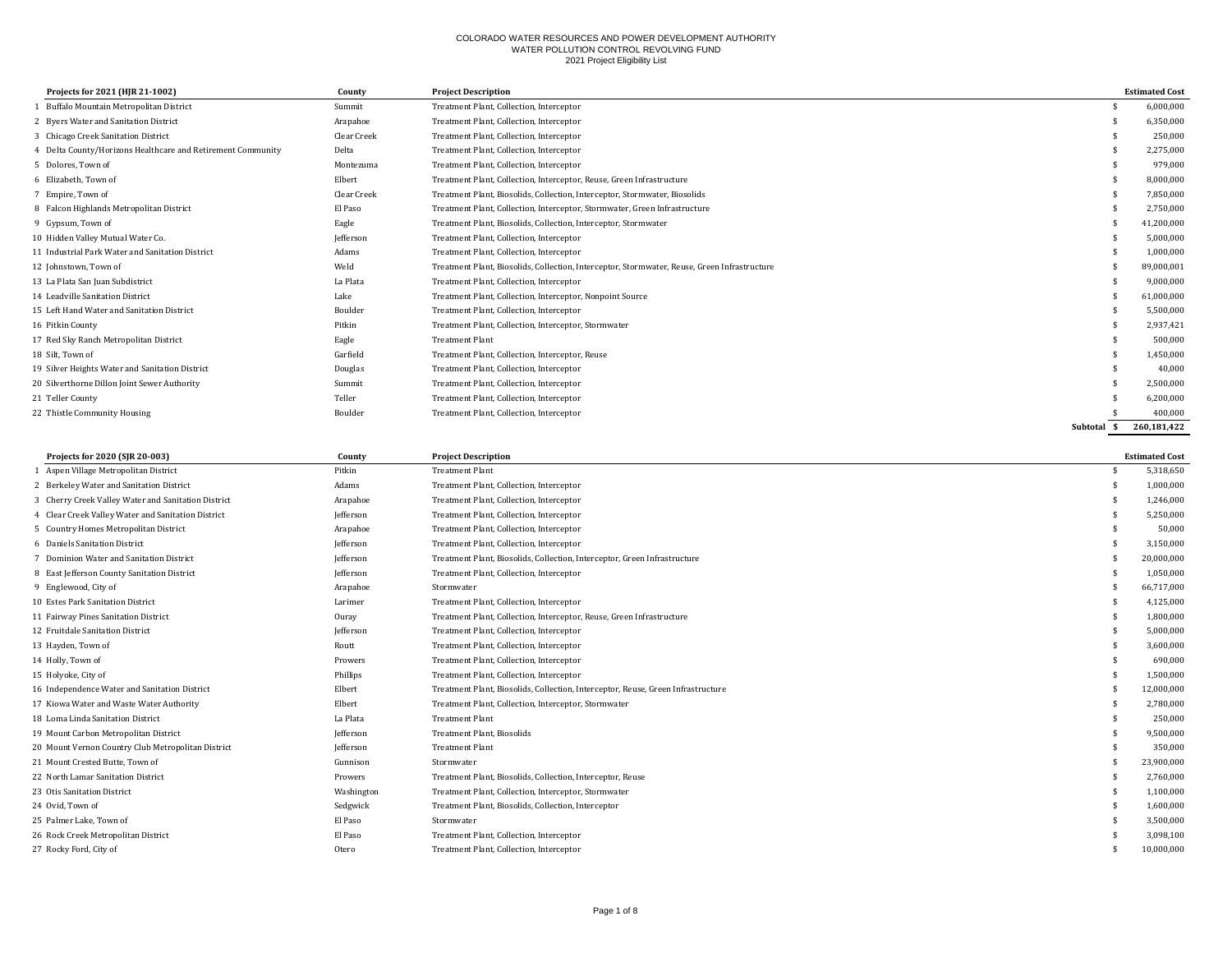| Projects for 2021 (HJR 21-1002)                           | County      | <b>Project Description</b>                                                                   |                  | <b>Estimated Cost</b> |
|-----------------------------------------------------------|-------------|----------------------------------------------------------------------------------------------|------------------|-----------------------|
| Buffalo Mountain Metropolitan District                    | Summit      | Treatment Plant, Collection, Interceptor                                                     |                  | 6,000,000             |
| 2 Byers Water and Sanitation District                     | Arapahoe    | Treatment Plant, Collection, Interceptor                                                     |                  | 6,350,000             |
| 3 Chicago Creek Sanitation District                       | Clear Creek | Treatment Plant, Collection, Interceptor                                                     |                  | 250.000               |
| Delta County/Horizons Healthcare and Retirement Community | Delta       | Treatment Plant, Collection, Interceptor                                                     |                  | 2,275,000             |
| 5 Dolores. Town of                                        | Montezuma   | Treatment Plant, Collection, Interceptor                                                     |                  | 979,000               |
| 6 Elizabeth. Town of                                      | Elbert      | Treatment Plant, Collection, Interceptor, Reuse, Green Infrastructure                        |                  | 8,000,000             |
| 7 Empire, Town of                                         | Clear Creek | Treatment Plant, Biosolids, Collection, Interceptor, Stormwater, Biosolids                   |                  | 7,850,000             |
| 8 Falcon Highlands Metropolitan District                  | El Paso     | Treatment Plant, Collection, Interceptor, Stormwater, Green Infrastructure                   |                  | 2,750,000             |
| 9 Gypsum, Town of                                         | Eagle       | Treatment Plant, Biosolids, Collection, Interceptor, Stormwater                              |                  | 41,200,000            |
| 10 Hidden Valley Mutual Water Co.                         | Jefferson   | Treatment Plant, Collection, Interceptor                                                     |                  | 5,000,000             |
| 11 Industrial Park Water and Sanitation District          | Adams       | Treatment Plant, Collection, Interceptor                                                     |                  | 1,000,000             |
| 12 Johnstown, Town of                                     | Weld        | Treatment Plant, Biosolids, Collection, Interceptor, Stormwater, Reuse, Green Infrastructure |                  | 89,000,001            |
| 13 La Plata San Juan Subdistrict                          | La Plata    | Treatment Plant, Collection, Interceptor                                                     |                  | 9,000,000             |
| 14 Leadville Sanitation District                          | Lake        | Treatment Plant, Collection, Interceptor, Nonpoint Source                                    |                  | 61,000,000            |
| 15 Left Hand Water and Sanitation District                | Boulder     | Treatment Plant, Collection, Interceptor                                                     |                  | 5,500,000             |
| 16 Pitkin County                                          | Pitkin      | Treatment Plant, Collection, Interceptor, Stormwater                                         |                  | 2,937,421             |
| 17 Red Sky Ranch Metropolitan District                    | Eagle       | <b>Treatment Plant</b>                                                                       |                  | 500,000               |
| 18 Silt. Town of                                          | Garfield    | Treatment Plant, Collection, Interceptor, Reuse                                              |                  | 1,450,000             |
| 19 Silver Heights Water and Sanitation District           | Douglas     | Treatment Plant, Collection, Interceptor                                                     |                  | 40,000                |
| 20 Silverthorne Dillon Joint Sewer Authority              | Summit      | Treatment Plant, Collection, Interceptor                                                     |                  | 2,500,000             |
| 21 Teller County                                          | Teller      | Treatment Plant, Collection, Interceptor                                                     |                  | 6,200,000             |
| 22 Thistle Community Housing                              | Boulder     | Treatment Plant, Collection, Interceptor                                                     |                  | 400.000               |
|                                                           |             |                                                                                              | Subtotal<br>- \$ | 260.181.422           |

| Projects for 2020 (SJR 20-003)                      | County     | <b>Project Description</b>                                                       | <b>Estimated Cost</b> |
|-----------------------------------------------------|------------|----------------------------------------------------------------------------------|-----------------------|
| 1 Aspen Village Metropolitan District               | Pitkin     | <b>Treatment Plant</b>                                                           | 5,318,650             |
| 2 Berkeley Water and Sanitation District            | Adams      | Treatment Plant, Collection, Interceptor                                         | 1,000,000             |
| 3 Cherry Creek Valley Water and Sanitation District | Arapahoe   | Treatment Plant, Collection, Interceptor                                         | 1.246.000             |
| 4 Clear Creek Valley Water and Sanitation District  | Jefferson  | Treatment Plant, Collection, Interceptor                                         | 5,250,000             |
| 5 Country Homes Metropolitan District               | Arapahoe   | Treatment Plant, Collection, Interceptor                                         | 50,000                |
| 6 Daniels Sanitation District                       | Jefferson  | Treatment Plant, Collection, Interceptor                                         | 3,150,000             |
| 7 Dominion Water and Sanitation District            | Jefferson  | Treatment Plant, Biosolids, Collection, Interceptor, Green Infrastructure        | 20,000,000            |
| 8 East Jefferson County Sanitation District         | Jefferson  | Treatment Plant, Collection, Interceptor                                         | 1,050,000             |
| 9 Englewood, City of                                | Arapahoe   | Stormwater                                                                       | 66,717,000            |
| 10 Estes Park Sanitation District                   | Larimer    | Treatment Plant, Collection, Interceptor                                         | 4,125,000             |
| 11 Fairway Pines Sanitation District                | Ouray      | Treatment Plant, Collection, Interceptor, Reuse, Green Infrastructure            | 1,800,000             |
| 12 Fruitdale Sanitation District                    | Jefferson  | Treatment Plant, Collection, Interceptor                                         | 5,000,000             |
| 13 Hayden, Town of                                  | Routt      | Treatment Plant, Collection, Interceptor                                         | 3,600,000             |
| 14 Holly, Town of                                   | Prowers    | Treatment Plant, Collection, Interceptor                                         | 690,000               |
| 15 Holyoke, City of                                 | Phillips   | Treatment Plant, Collection, Interceptor                                         | 1,500,000             |
| 16 Independence Water and Sanitation District       | Elbert     | Treatment Plant, Biosolids, Collection, Interceptor, Reuse, Green Infrastructure | 12,000,000            |
| 17 Kiowa Water and Waste Water Authority            | Elbert     | Treatment Plant, Collection, Interceptor, Stormwater                             | 2,780,000             |
| 18 Loma Linda Sanitation District                   | La Plata   | <b>Treatment Plant</b>                                                           | 250,000               |
| 19 Mount Carbon Metropolitan District               | Jefferson  | <b>Treatment Plant, Biosolids</b>                                                | 9,500,000             |
| 20 Mount Vernon Country Club Metropolitan District  | Jefferson  | <b>Treatment Plant</b>                                                           | 350,000               |
| 21 Mount Crested Butte, Town of                     | Gunnison   | Stormwater                                                                       | 23,900,000            |
| 22 North Lamar Sanitation District                  | Prowers    | Treatment Plant, Biosolids, Collection, Interceptor, Reuse                       | 2,760,000             |
| 23 Otis Sanitation District                         | Washington | Treatment Plant, Collection, Interceptor, Stormwater                             | 1,100,000             |
| 24 Ovid, Town of                                    | Sedgwick   | Treatment Plant, Biosolids, Collection, Interceptor                              | 1,600,000             |
| 25 Palmer Lake, Town of                             | El Paso    | Stormwater                                                                       | 3,500,000             |
| 26 Rock Creek Metropolitan District                 | El Paso    | Treatment Plant, Collection, Interceptor                                         | 3,098,100             |
| 27 Rocky Ford, City of                              | Otero      | Treatment Plant, Collection, Interceptor                                         | 10,000,000            |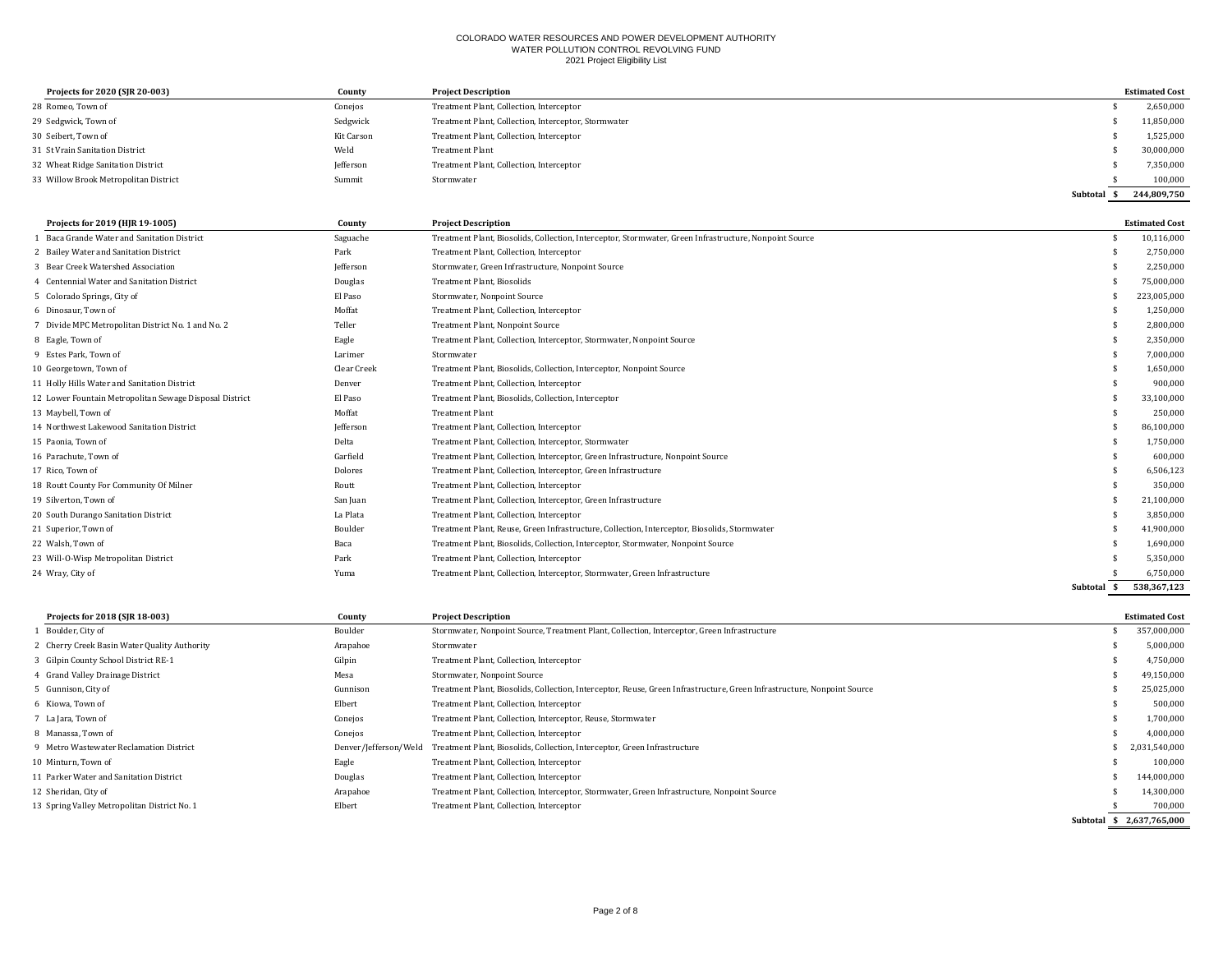| Projects for 2020 (SJR 20-003)        | County     | <b>Project Description</b>                           |          | <b>Estimated Cost</b> |
|---------------------------------------|------------|------------------------------------------------------|----------|-----------------------|
| 28 Romeo, Town of                     | Conejos    | Treatment Plant, Collection, Interceptor             |          | 2,650,000             |
| 29 Sedgwick, Town of                  | Sedgwick   | Treatment Plant, Collection, Interceptor, Stormwater |          | 11,850,000            |
| 30 Seibert, Town of                   | Kit Carson | Treatment Plant, Collection, Interceptor             |          | 1,525,000             |
| 31 St Vrain Sanitation District       | Weld       | <b>Treatment Plant</b>                               |          | 30,000,000            |
| 32 Wheat Ridge Sanitation District    | Jefferson  | Treatment Plant, Collection, Interceptor             |          | 7,350,000             |
| 33 Willow Brook Metropolitan District | Summit     | Stormwater                                           |          | 100,000               |
|                                       |            |                                                      | Subtotal | 244,809,750           |

| Projects for 2019 (HJR 19-1005)                         | County      | <b>Project Description</b>                                                                             |             | <b>Estimated Cost</b> |
|---------------------------------------------------------|-------------|--------------------------------------------------------------------------------------------------------|-------------|-----------------------|
| Baca Grande Water and Sanitation District               | Saguache    | Treatment Plant, Biosolids, Collection, Interceptor, Stormwater, Green Infrastructure, Nonpoint Source |             | 10,116,000            |
| 2 Bailey Water and Sanitation District                  | Park        | Treatment Plant, Collection, Interceptor                                                               |             | 2,750,000             |
| 3 Bear Creek Watershed Association                      | Jefferson   | Stormwater, Green Infrastructure, Nonpoint Source                                                      |             | 2,250,000             |
| 4 Centennial Water and Sanitation District              | Douglas     | Treatment Plant, Biosolids                                                                             |             | 75,000,000            |
| 5 Colorado Springs, City of                             | El Paso     | Stormwater, Nonpoint Source                                                                            |             | 223,005,000           |
| 6 Dinosaur, Town of                                     | Moffat      | Treatment Plant, Collection, Interceptor                                                               |             | 1,250,000             |
| 7 Divide MPC Metropolitan District No. 1 and No. 2      | Teller      | Treatment Plant, Nonpoint Source                                                                       |             | 2,800,000             |
| 8 Eagle, Town of                                        | Eagle       | Treatment Plant, Collection, Interceptor, Stormwater, Nonpoint Source                                  |             | 2,350,000             |
| 9 Estes Park, Town of                                   | Larimer     | Stormwater                                                                                             |             | 7,000,000             |
| 10 Georgetown, Town of                                  | Clear Creek | Treatment Plant, Biosolids, Collection, Interceptor, Nonpoint Source                                   |             | 1,650,000             |
| 11 Holly Hills Water and Sanitation District            | Denver      | Treatment Plant, Collection, Interceptor                                                               |             | 900,000               |
| 12 Lower Fountain Metropolitan Sewage Disposal District | El Paso     | Treatment Plant, Biosolids, Collection, Interceptor                                                    |             | 33,100,000            |
| 13 Maybell, Town of                                     | Moffat      | <b>Treatment Plant</b>                                                                                 |             | 250,000               |
| 14 Northwest Lakewood Sanitation District               | Jefferson   | Treatment Plant, Collection, Interceptor                                                               |             | 86,100,000            |
| 15 Paonia, Town of                                      | Delta       | Treatment Plant, Collection, Interceptor, Stormwater                                                   |             | 1,750,000             |
| 16 Parachute, Town of                                   | Garfield    | Treatment Plant, Collection, Interceptor, Green Infrastructure, Nonpoint Source                        |             | 600,000               |
| 17 Rico, Town of                                        | Dolores     | Treatment Plant, Collection, Interceptor, Green Infrastructure                                         |             | 6,506,123             |
| 18 Routt County For Community Of Milner                 | Routt       | Treatment Plant, Collection, Interceptor                                                               |             | 350,000               |
| 19 Silverton, Town of                                   | San Juan    | Treatment Plant, Collection, Interceptor, Green Infrastructure                                         |             | 21,100,000            |
| 20 South Durango Sanitation District                    | La Plata    | Treatment Plant, Collection, Interceptor                                                               |             | 3,850,000             |
| 21 Superior, Town of                                    | Boulder     | Treatment Plant, Reuse, Green Infrastructure, Collection, Interceptor, Biosolids, Stormwater           |             | 41,900,000            |
| 22 Walsh, Town of                                       | Baca        | Treatment Plant, Biosolids, Collection, Interceptor, Stormwater, Nonpoint Source                       |             | 1,690,000             |
| 23 Will-O-Wisp Metropolitan District                    | Park        | Treatment Plant, Collection, Interceptor                                                               |             | 5,350,000             |
| 24 Wray, City of                                        | Yuma        | Treatment Plant, Collection, Interceptor, Stormwater, Green Infrastructure                             |             | 6,750,000             |
|                                                         |             |                                                                                                        | Subtotal \$ | 538,367,123           |

| Projects for 2018 (SJR 18-003)               | County                | <b>Project Description</b>                                                                                              |          | <b>Estimated Cost</b> |
|----------------------------------------------|-----------------------|-------------------------------------------------------------------------------------------------------------------------|----------|-----------------------|
| 1 Boulder, City of                           | Boulder               | Stormwater, Nonpoint Source, Treatment Plant, Collection, Interceptor, Green Infrastructure                             |          | 357,000,000           |
| 2 Cherry Creek Basin Water Quality Authority | Arapahoe              | Stormwater                                                                                                              |          | 5,000,000             |
| 3 Gilpin County School District RE-1         | Gilpin                | Treatment Plant, Collection, Interceptor                                                                                |          | 4,750,000             |
| 4 Grand Valley Drainage District             | Mesa                  | Stormwater, Nonpoint Source                                                                                             |          | 49,150,000            |
| 5 Gunnison, City of                          | Gunnison              | Treatment Plant, Biosolids, Collection, Interceptor, Reuse, Green Infrastructure, Green Infrastructure, Nonpoint Source |          | 25,025,000            |
| 6 Kiowa, Town of                             | Elbert                | Treatment Plant, Collection, Interceptor                                                                                |          | 500,000               |
| 7 La Jara, Town of                           | Conejos               | Treatment Plant, Collection, Interceptor, Reuse, Stormwater                                                             |          | 1,700,000             |
| 8 Manassa, Town of                           | Conejos               | Treatment Plant, Collection, Interceptor                                                                                |          | 4,000,000             |
| 9 Metro Wastewater Reclamation District      | Denver/Jefferson/Weld | Treatment Plant, Biosolids, Collection, Interceptor, Green Infrastructure                                               |          | 2,031,540,000         |
| 10 Minturn, Town of                          | Eagle                 | Treatment Plant, Collection, Interceptor                                                                                |          | 100,000               |
| 11 Parker Water and Sanitation District      | Douglas               | Treatment Plant, Collection, Interceptor                                                                                |          | 144,000,000           |
| 12 Sheridan, City of                         | Arapahoe              | Treatment Plant, Collection, Interceptor, Stormwater, Green Infrastructure, Nonpoint Source                             |          | 14,300,000            |
| 13 Spring Valley Metropolitan District No. 1 | Elbert                | Treatment Plant, Collection, Interceptor                                                                                |          | 700,000               |
|                                              |                       |                                                                                                                         | Subtotal | \$2.637.765.000       |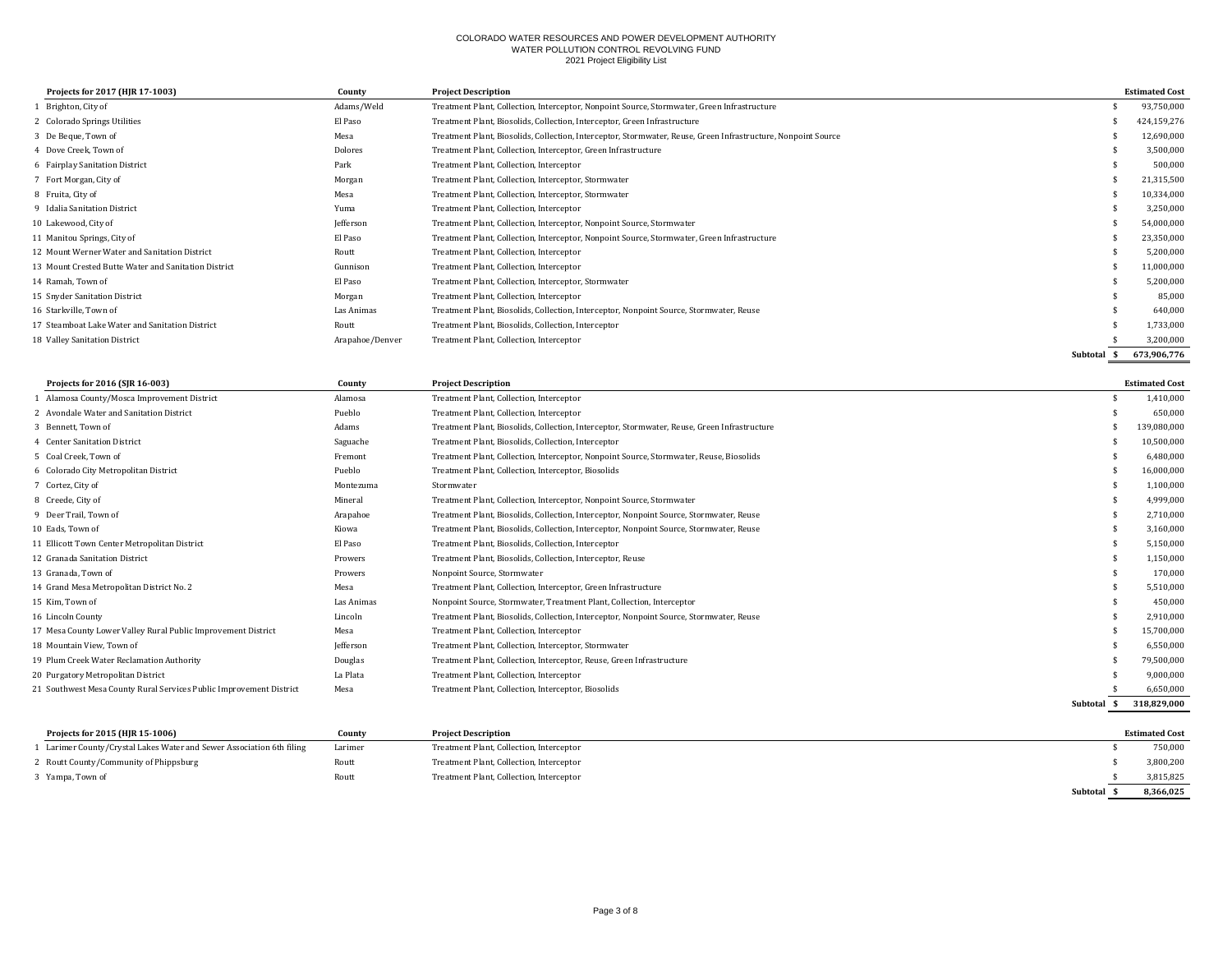| Projects for 2017 (HJR 17-1003)                      | County          | <b>Project Description</b>                                                                                    |          | <b>Estimated Cost</b> |
|------------------------------------------------------|-----------------|---------------------------------------------------------------------------------------------------------------|----------|-----------------------|
| Brighton, City of                                    | Adams/Weld      | Treatment Plant, Collection, Interceptor, Nonpoint Source, Stormwater, Green Infrastructure                   |          | 93,750,000            |
| 2 Colorado Springs Utilities                         | El Paso         | Treatment Plant, Biosolids, Collection, Interceptor, Green Infrastructure                                     |          | 424,159,276           |
| 3 De Beque, Town of                                  | Mesa            | Treatment Plant, Biosolids, Collection, Interceptor, Stormwater, Reuse, Green Infrastructure, Nonpoint Source |          | 12,690,000            |
| 4 Dove Creek, Town of                                | Dolores         | Treatment Plant, Collection, Interceptor, Green Infrastructure                                                |          | 3,500,000             |
| 6 Fairplay Sanitation District                       | Park            | Treatment Plant, Collection, Interceptor                                                                      |          | 500,000               |
| 7 Fort Morgan, City of                               | Morgan          | Treatment Plant, Collection, Interceptor, Stormwater                                                          |          | 21,315,500            |
| 8 Fruita, City of                                    | Mesa            | Treatment Plant, Collection, Interceptor, Stormwater                                                          |          | 10,334,000            |
| 9 Idalia Sanitation District                         | Yuma            | Treatment Plant, Collection, Interceptor                                                                      |          | 3,250,000             |
| 10 Lakewood, City of                                 | Jefferson       | Treatment Plant, Collection, Interceptor, Nonpoint Source, Stormwater                                         |          | 54,000,000            |
| 11 Manitou Springs, City of                          | El Paso         | Treatment Plant, Collection, Interceptor, Nonpoint Source, Stormwater, Green Infrastructure                   |          | 23,350,000            |
| 12 Mount Werner Water and Sanitation District        | Routt           | Treatment Plant, Collection, Interceptor                                                                      |          | 5,200,000             |
| 13 Mount Crested Butte Water and Sanitation District | Gunnison        | Treatment Plant, Collection, Interceptor                                                                      |          | 11,000,000            |
| 14 Ramah, Town of                                    | El Paso         | Treatment Plant, Collection, Interceptor, Stormwater                                                          |          | 5,200,000             |
| 15 Snyder Sanitation District                        | Morgan          | Treatment Plant, Collection, Interceptor                                                                      |          | 85,000                |
| 16 Starkville, Town of                               | Las Animas      | Treatment Plant, Biosolids, Collection, Interceptor, Nonpoint Source, Stormwater, Reuse                       |          | 640,000               |
| 17 Steamboat Lake Water and Sanitation District      | Routt           | Treatment Plant, Biosolids, Collection, Interceptor                                                           |          | 1,733,000             |
| 18 Valley Sanitation District                        | Arapahoe/Denver | Treatment Plant, Collection, Interceptor                                                                      |          | 3,200,000             |
|                                                      |                 |                                                                                                               | Subtotal | 673,906,776           |

| Projects for 2016 (SJR 16-003)                                      | County     | <b>Project Description</b>                                                                   |                 | <b>Estimated Cost</b> |
|---------------------------------------------------------------------|------------|----------------------------------------------------------------------------------------------|-----------------|-----------------------|
| Alamosa County/Mosca Improvement District                           | Alamosa    | Treatment Plant, Collection, Interceptor                                                     |                 | 1,410,000             |
| 2 Avondale Water and Sanitation District                            | Pueblo     | Treatment Plant, Collection, Interceptor                                                     |                 | 650,000               |
| 3 Bennett, Town of                                                  | Adams      | Treatment Plant, Biosolids, Collection, Interceptor, Stormwater, Reuse, Green Infrastructure |                 | 139,080,000           |
| 4 Center Sanitation District                                        | Saguache   | Treatment Plant, Biosolids, Collection, Interceptor                                          |                 | 10,500,000            |
| 5 Coal Creek. Town of                                               | Fremont    | Treatment Plant, Collection, Interceptor, Nonpoint Source, Stormwater, Reuse, Biosolids      |                 | 6,480,000             |
| 6 Colorado City Metropolitan District                               | Pueblo     | Treatment Plant, Collection, Interceptor, Biosolids                                          |                 | 16,000,000            |
| 7 Cortez, City of                                                   | Montezuma  | Stormwater                                                                                   |                 | 1,100,000             |
| 8 Creede, City of                                                   | Mineral    | Treatment Plant, Collection, Interceptor, Nonpoint Source, Stormwater                        |                 | 4,999,000             |
| 9 Deer Trail. Town of                                               | Arapahoe   | Treatment Plant, Biosolids, Collection, Interceptor, Nonpoint Source, Stormwater, Reuse      |                 | 2,710,000             |
| 10 Eads. Town of                                                    | Kiowa      | Treatment Plant, Biosolids, Collection, Interceptor, Nonpoint Source, Stormwater, Reuse      |                 | 3.160.000             |
| 11 Ellicott Town Center Metropolitan District                       | El Paso    | Treatment Plant, Biosolids, Collection, Interceptor                                          |                 | 5,150,000             |
| 12 Granada Sanitation District                                      | Prowers    | Treatment Plant, Biosolids, Collection, Interceptor, Reuse                                   |                 | 1,150,000             |
| 13 Granada, Town of                                                 | Prowers    | Nonpoint Source, Stormwater                                                                  |                 | 170,000               |
| 14 Grand Mesa Metropolitan District No. 2                           | Mesa       | Treatment Plant, Collection, Interceptor, Green Infrastructure                               |                 | 5,510,000             |
| 15 Kim, Town of                                                     | Las Animas | Nonpoint Source, Stormwater, Treatment Plant, Collection, Interceptor                        |                 | 450.000               |
| 16 Lincoln County                                                   | Lincoln    | Treatment Plant, Biosolids, Collection, Interceptor, Nonpoint Source, Stormwater, Reuse      |                 | 2,910,000             |
| 17 Mesa County Lower Valley Rural Public Improvement District       | Mesa       | Treatment Plant, Collection, Interceptor                                                     |                 | 15,700,000            |
| 18 Mountain View. Town of                                           | lefferson  | Treatment Plant, Collection, Interceptor, Stormwater                                         |                 | 6,550,000             |
| 19 Plum Creek Water Reclamation Authority                           | Douglas    | Treatment Plant, Collection, Interceptor, Reuse, Green Infrastructure                        |                 | 79,500,000            |
| 20 Purgatory Metropolitan District                                  | La Plata   | Treatment Plant, Collection, Interceptor                                                     |                 | 9,000,000             |
| 21 Southwest Mesa County Rural Services Public Improvement District | Mesa       | Treatment Plant, Collection, Interceptor, Biosolids                                          |                 | 6,650,000             |
|                                                                     |            |                                                                                              | -SI<br>Subtotal | 318,829,000           |

| Projects for 2015 (HJR 15-1006)                                     | County  | <b>Project Description</b>               |          | <b>Estimated Cost</b> |  |
|---------------------------------------------------------------------|---------|------------------------------------------|----------|-----------------------|--|
| Larimer County/Crystal Lakes Water and Sewer Association 6th filing | Larimer | Treatment Plant, Collection, Interceptor |          | 750.000               |  |
| 2 Routt County/Community of Phippsburg                              | Routt   | Treatment Plant, Collection, Interceptor |          | 3,800,200             |  |
| Yampa, Town of                                                      | Routt   | Treatment Plant, Collection, Interceptor |          | 3,815,825             |  |
|                                                                     |         |                                          | Subtotal | 8.366.025             |  |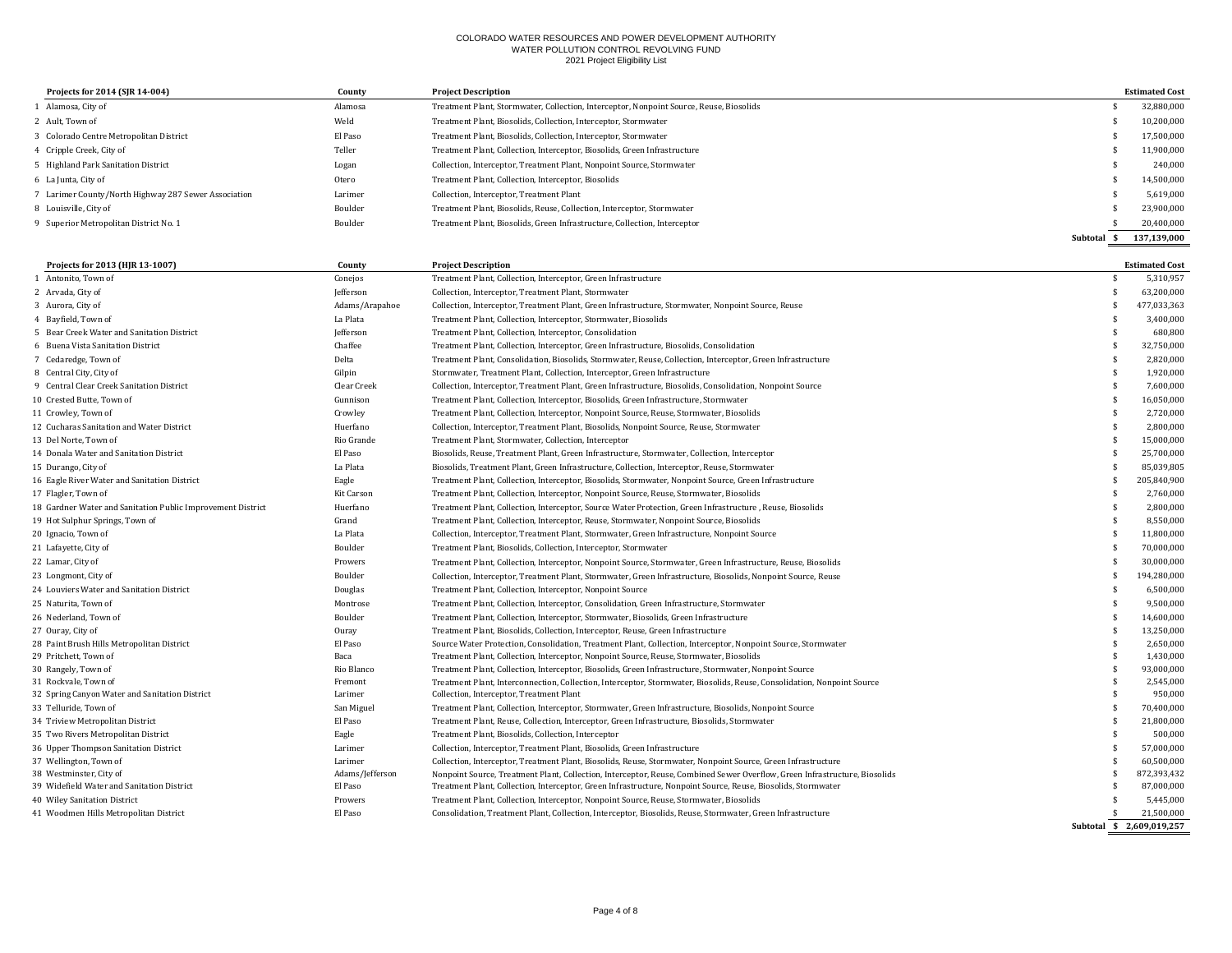| Projects for 2014 (SJR 14-004)                       | County  | <b>Project Description</b>                                                              |          | <b>Estimated Cost</b> |
|------------------------------------------------------|---------|-----------------------------------------------------------------------------------------|----------|-----------------------|
| Alamosa, City of                                     | Alamosa | Treatment Plant, Stormwater, Collection, Interceptor, Nonpoint Source, Reuse, Biosolids |          | 32,880,000            |
| 2 Ault. Town of                                      | Weld    | Treatment Plant, Biosolids, Collection, Interceptor, Stormwater                         |          | 10,200,000            |
| 3 Colorado Centre Metropolitan District              | El Paso | Treatment Plant, Biosolids, Collection, Interceptor, Stormwater                         |          | 17,500,000            |
| 4 Cripple Creek, City of                             | Teller  | Treatment Plant, Collection, Interceptor, Biosolids, Green Infrastructure               |          | 11,900,000            |
| 5 Highland Park Sanitation District                  | Logan   | Collection, Interceptor, Treatment Plant, Nonpoint Source, Stormwater                   |          | 240.000               |
| 6 La Junta, City of                                  | Otero   | Treatment Plant, Collection, Interceptor, Biosolids                                     |          | 14,500,000            |
| 7 Larimer County/North Highway 287 Sewer Association | Larimer | Collection, Interceptor, Treatment Plant                                                |          | 5,619,000             |
| 8 Louisville. City of                                | Boulder | Treatment Plant, Biosolids, Reuse, Collection, Interceptor, Stormwater                  |          | 23,900,000            |
| 9 Superior Metropolitan District No. 1               | Boulder | Treatment Plant, Biosolids, Green Infrastructure, Collection, Interceptor               |          | 20,400,000            |
|                                                      |         |                                                                                         | Subtotal | 137,139,000           |

| Projects for 2013 (HJR 13-1007)                             | County          | <b>Project Description</b>                                                                                                 |     | <b>Estimated Cost</b>     |
|-------------------------------------------------------------|-----------------|----------------------------------------------------------------------------------------------------------------------------|-----|---------------------------|
| 1 Antonito. Town of                                         | Conejos         | Treatment Plant, Collection, Interceptor, Green Infrastructure                                                             | \$  | 5,310,957                 |
| 2 Arvada, City of                                           | Jefferson       | Collection, Interceptor, Treatment Plant, Stormwater                                                                       | \$  | 63,200,000                |
| 3 Aurora, City of                                           | Adams/Arapahoe  | Collection, Interceptor, Treatment Plant, Green Infrastructure, Stormwater, Nonpoint Source, Reuse                         | \$  | 477,033,363               |
| 4 Bayfield, Town of                                         | La Plata        | Treatment Plant, Collection, Interceptor, Stormwater, Biosolids                                                            | \$. | 3,400,000                 |
| 5 Bear Creek Water and Sanitation District                  | Jefferson       | Treatment Plant, Collection, Interceptor, Consolidation                                                                    | \$  | 680,800                   |
| 6 Buena Vista Sanitation District                           | Chaffee         | Treatment Plant, Collection, Interceptor, Green Infrastructure, Biosolids, Consolidation                                   | \$  | 32,750,000                |
| 7 Cedaredge, Town of                                        | Delta           | Treatment Plant, Consolidation, Biosolids, Stormwater, Reuse, Collection, Interceptor, Green Infrastructure                | \$  | 2,820,000                 |
| 8 Central City, City of                                     | Gilpin          | Stormwater, Treatment Plant, Collection, Interceptor, Green Infrastructure                                                 | \$  | 1,920,000                 |
| 9 Central Clear Creek Sanitation District                   | Clear Creek     | Collection, Interceptor, Treatment Plant, Green Infrastructure, Biosolids, Consolidation, Nonpoint Source                  | \$  | 7,600,000                 |
| 10 Crested Butte, Town of                                   | Gunnison        | Treatment Plant, Collection, Interceptor, Biosolids, Green Infrastructure, Stormwater                                      | \$  | 16,050,000                |
| 11 Crowley, Town of                                         | Crowley         | Treatment Plant, Collection, Interceptor, Nonpoint Source, Reuse, Stormwater, Biosolids                                    | \$  | 2,720,000                 |
| 12 Cucharas Sanitation and Water District                   | Huerfano        | Collection, Interceptor, Treatment Plant, Biosolids, Nonpoint Source, Reuse, Stormwater                                    | \$  | 2,800,000                 |
| 13 Del Norte, Town of                                       | Rio Grande      | Treatment Plant, Stormwater, Collection, Interceptor                                                                       | \$  | 15,000,000                |
| 14 Donala Water and Sanitation District                     | El Paso         | Biosolids, Reuse, Treatment Plant, Green Infrastructure, Stormwater, Collection, Interceptor                               | \$  | 25,700,000                |
| 15 Durango, City of                                         | La Plata        | Biosolids, Treatment Plant, Green Infrastructure, Collection, Interceptor, Reuse, Stormwater                               | \$. | 85,039,805                |
| 16 Eagle River Water and Sanitation District                | Eagle           | Treatment Plant, Collection, Interceptor, Biosolids, Stormwater, Nonpoint Source, Green Infrastructure                     | \$  | 205,840,900               |
| 17 Flagler, Town of                                         | Kit Carson      | Treatment Plant, Collection, Interceptor, Nonpoint Source, Reuse, Stormwater, Biosolids                                    | \$  | 2,760,000                 |
| 18 Gardner Water and Sanitation Public Improvement District | Huerfano        | Treatment Plant, Collection, Interceptor, Source Water Protection, Green Infrastructure, Reuse, Biosolids                  | \$  | 2,800,000                 |
| 19 Hot Sulphur Springs, Town of                             | Grand           | Treatment Plant, Collection, Interceptor, Reuse, Stormwater, Nonpoint Source, Biosolids                                    | \$  | 8,550,000                 |
| 20 Ignacio, Town of                                         | La Plata        | Collection, Interceptor, Treatment Plant, Stormwater, Green Infrastructure, Nonpoint Source                                | \$  | 11,800,000                |
| 21 Lafayette, City of                                       | Boulder         | Treatment Plant, Biosolids, Collection, Interceptor, Stormwater                                                            | \$  | 70,000,000                |
| 22 Lamar, City of                                           | Prowers         | Treatment Plant, Collection, Interceptor, Nonpoint Source, Stormwater, Green Infrastructure, Reuse, Biosolids              | \$  | 30,000,000                |
| 23 Longmont, City of                                        | Boulder         | Collection, Interceptor, Treatment Plant, Stormwater, Green Infrastructure, Biosolids, Nonpoint Source, Reuse              | \$  | 194,280,000               |
| 24 Louviers Water and Sanitation District                   | Douglas         | Treatment Plant, Collection, Interceptor, Nonpoint Source                                                                  | \$  | 6,500,000                 |
| 25 Naturita. Town of                                        | Montrose        | Treatment Plant, Collection, Interceptor, Consolidation, Green Infrastructure, Stormwater                                  | \$  | 9,500,000                 |
| 26 Nederland, Town of                                       | Boulder         | Treatment Plant, Collection, Interceptor, Stormwater, Biosolids, Green Infrastructure                                      | \$  | 14,600,000                |
| 27 Ouray, City of                                           | Ouray           | Treatment Plant, Biosolids, Collection, Interceptor, Reuse, Green Infrastructure                                           | \$  | 13,250,000                |
| 28 Paint Brush Hills Metropolitan District                  | El Paso         | Source Water Protection, Consolidation, Treatment Plant, Collection, Interceptor, Nonpoint Source, Stormwater              | \$  | 2,650,000                 |
| 29 Pritchett. Town of                                       | Baca            | Treatment Plant, Collection, Interceptor, Nonpoint Source, Reuse, Stormwater, Biosolids                                    | \$  | 1,430,000                 |
| 30 Rangely, Town of                                         | Rio Blanco      | Treatment Plant, Collection, Interceptor, Biosolids, Green Infrastructure, Stormwater, Nonpoint Source                     | \$  | 93,000,000                |
| 31 Rockvale. Town of                                        | Fremont         | Treatment Plant, Interconnection, Collection, Interceptor, Stormwater, Biosolids, Reuse, Consolidation, Nonpoint Source    | \$  | 2,545,000                 |
| 32 Spring Canyon Water and Sanitation District              | Larimer         | Collection, Interceptor, Treatment Plant                                                                                   | \$  | 950,000                   |
| 33 Telluride, Town of                                       | San Miguel      | Treatment Plant, Collection, Interceptor, Stormwater, Green Infrastructure, Biosolids, Nonpoint Source                     | \$  | 70,400,000                |
| 34 Triview Metropolitan District                            | El Paso         | Treatment Plant, Reuse, Collection, Interceptor, Green Infrastructure, Biosolids, Stormwater                               | \$  | 21,800,000                |
| 35 Two Rivers Metropolitan District                         | Eagle           | Treatment Plant, Biosolids, Collection, Interceptor                                                                        | \$. | 500,000                   |
| 36 Upper Thompson Sanitation District                       | Larimer         | Collection, Interceptor, Treatment Plant, Biosolids, Green Infrastructure                                                  | \$  | 57,000,000                |
| 37 Wellington, Town of                                      | Larimer         | Collection, Interceptor, Treatment Plant, Biosolids, Reuse, Stormwater, Nonpoint Source, Green Infrastructure              | \$  | 60.500.000                |
| 38 Westminster, City of                                     | Adams/Jefferson | Nonpoint Source, Treatment Plant, Collection, Interceptor, Reuse, Combined Sewer Overflow, Green Infrastructure, Biosolids | \$  | 872,393,432               |
| 39 Widefield Water and Sanitation District                  | El Paso         | Treatment Plant, Collection, Interceptor, Green Infrastructure, Nonpoint Source, Reuse, Biosolids, Stormwater              | \$  | 87,000,000                |
| 40 Wiley Sanitation District                                | Prowers         | Treatment Plant, Collection, Interceptor, Nonpoint Source, Reuse, Stormwater, Biosolids                                    |     | 5,445,000                 |
| 41 Woodmen Hills Metropolitan District                      | El Paso         | Consolidation, Treatment Plant, Collection, Interceptor, Biosolids, Reuse, Stormwater, Green Infrastructure                | \$  | 21.500.000                |
|                                                             |                 |                                                                                                                            |     | Subtotal \$ 2,609,019,257 |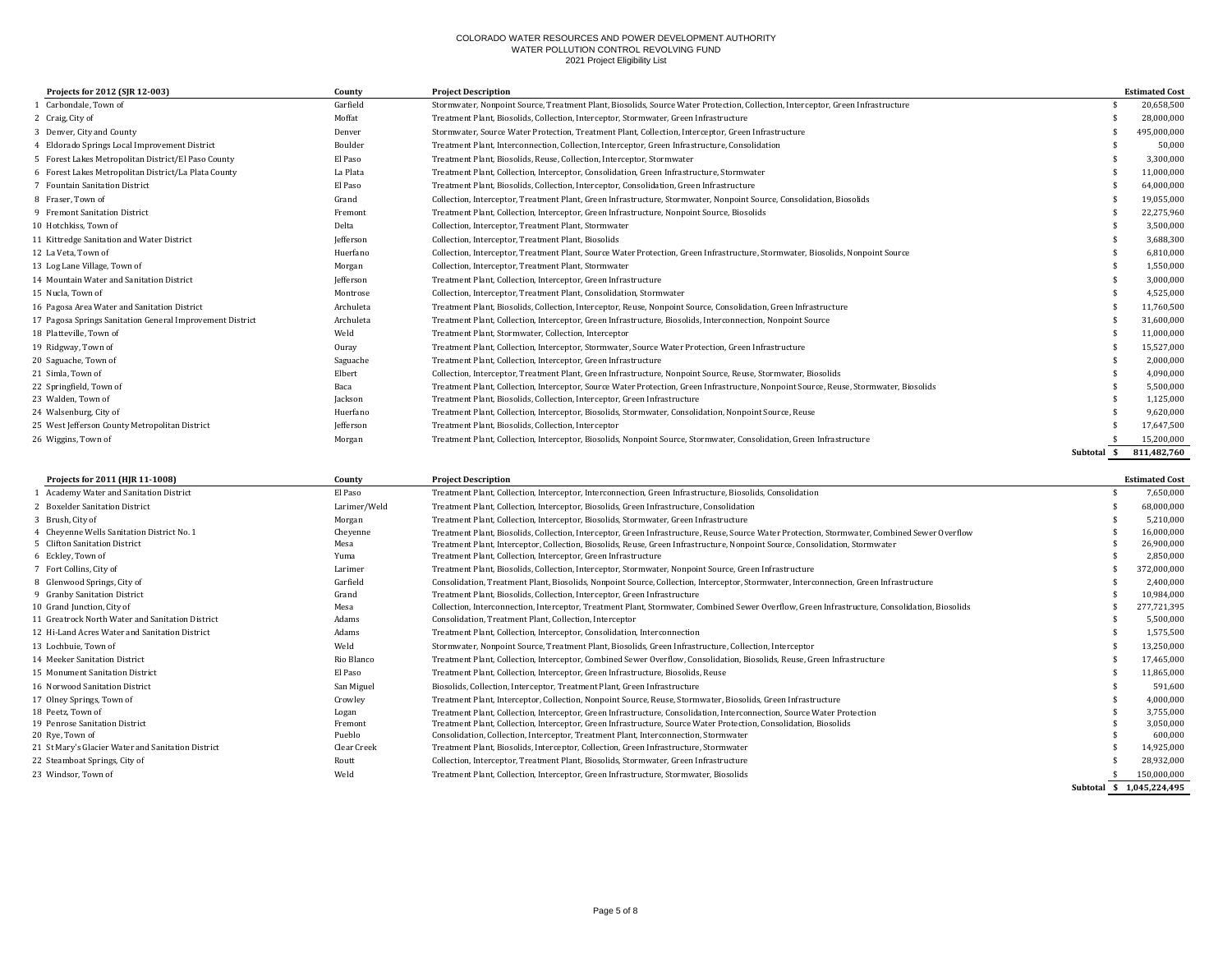| Projects for 2012 (SJR 12-003)                            | County    | <b>Project Description</b>                                                                                                             |             | <b>Estimated Cost</b> |
|-----------------------------------------------------------|-----------|----------------------------------------------------------------------------------------------------------------------------------------|-------------|-----------------------|
| 1 Carbondale, Town of                                     | Garfield  | Stormwater, Nonpoint Source, Treatment Plant, Biosolids, Source Water Protection, Collection, Interceptor, Green Infrastructure        |             | 20,658,500            |
| 2 Craig, City of                                          | Moffat    | Treatment Plant, Biosolids, Collection, Interceptor, Stormwater, Green Infrastructure                                                  |             | 28,000,000            |
| 3 Denver, City and County                                 | Denver    | Stormwater, Source Water Protection, Treatment Plant, Collection, Interceptor, Green Infrastructure                                    |             | 495,000,000           |
| 4 Eldorado Springs Local Improvement District             | Boulder   | Treatment Plant, Interconnection, Collection, Interceptor, Green Infrastructure, Consolidation                                         |             | 50,000                |
| 5 Forest Lakes Metropolitan District/El Paso County       | El Paso   | Treatment Plant, Biosolids, Reuse, Collection, Interceptor, Stormwater                                                                 |             | 3,300,000             |
| 6 Forest Lakes Metropolitan District/La Plata County      | La Plata  | Treatment Plant, Collection, Interceptor, Consolidation, Green Infrastructure, Stormwater                                              |             | 11,000,000            |
| 7 Fountain Sanitation District                            | El Paso   | Treatment Plant, Biosolids, Collection, Interceptor, Consolidation, Green Infrastructure                                               |             | 64,000,000            |
| 8 Fraser, Town of                                         | Grand     | Collection, Interceptor, Treatment Plant, Green Infrastructure, Stormwater, Nonpoint Source, Consolidation, Biosolids                  |             | 19,055,000            |
| 9 Fremont Sanitation District                             | Fremont   | Treatment Plant, Collection, Interceptor, Green Infrastructure, Nonpoint Source, Biosolids                                             |             | 22,275,960            |
| 10 Hotchkiss, Town of                                     | Delta     | Collection, Interceptor, Treatment Plant, Stormwater                                                                                   |             | 3,500,000             |
| 11 Kittredge Sanitation and Water District                | Jefferson | Collection, Interceptor, Treatment Plant, Biosolids                                                                                    |             | 3,688,300             |
| 12 La Veta. Town of                                       | Huerfano  | Collection, Interceptor, Treatment Plant, Source Water Protection, Green Infrastructure, Stormwater, Biosolids, Nonpoint Source        |             | 6,810,000             |
| 13 Log Lane Village, Town of                              | Morgan    | Collection, Interceptor, Treatment Plant, Stormwater                                                                                   |             | 1,550,000             |
| 14 Mountain Water and Sanitation District                 | Jefferson | Treatment Plant, Collection, Interceptor, Green Infrastructure                                                                         |             | 3,000,000             |
| 15 Nucla. Town of                                         | Montrose  | Collection, Interceptor, Treatment Plant, Consolidation, Stormwater                                                                    |             | 4,525,000             |
| 16 Pagosa Area Water and Sanitation District              | Archuleta | Treatment Plant, Biosolids, Collection, Interceptor, Reuse, Nonpoint Source, Consolidation, Green Infrastructure                       |             | 11,760,500            |
| 17 Pagosa Springs Sanitation General Improvement District | Archuleta | Treatment Plant, Collection, Interceptor, Green Infrastructure, Biosolids, Interconnection, Nonpoint Source                            |             | 31,600,000            |
| 18 Platteville, Town of                                   | Weld      | Treatment Plant, Stormwater, Collection, Interceptor                                                                                   |             | 11,000,000            |
| 19 Ridgway, Town of                                       | Ouray     | Treatment Plant, Collection, Interceptor, Stormwater, Source Water Protection, Green Infrastructure                                    |             | 15,527,000            |
| 20 Saguache, Town of                                      | Saguache  | Treatment Plant, Collection, Interceptor, Green Infrastructure                                                                         |             | 2,000,000             |
| 21 Simla, Town of                                         | Elbert    | Collection, Interceptor, Treatment Plant, Green Infrastructure, Nonpoint Source, Reuse, Stormwater, Biosolids                          |             | 4,090,000             |
| 22 Springfield, Town of                                   | Baca      | Treatment Plant, Collection, Interceptor, Source Water Protection, Green Infrastructure, Nonpoint Source, Reuse, Stormwater, Biosolids |             | 5,500,000             |
| 23 Walden, Town of                                        | Jackson   | Treatment Plant, Biosolids, Collection, Interceptor, Green Infrastructure                                                              |             | 1,125,000             |
| 24 Walsenburg, City of                                    | Huerfano  | Treatment Plant, Collection, Interceptor, Biosolids, Stormwater, Consolidation, Nonpoint Source, Reuse                                 |             | 9,620,000             |
| 25 West Jefferson County Metropolitan District            | Jefferson | Treatment Plant, Biosolids, Collection, Interceptor                                                                                    |             | 17,647,500            |
| 26 Wiggins, Town of                                       | Morgan    | Treatment Plant, Collection, Interceptor, Biosolids, Nonpoint Source, Stormwater, Consolidation, Green Infrastructure                  |             | 15,200,000            |
|                                                           |           |                                                                                                                                        | Subtotal \$ | 811.482.760           |

| Projects for 2011 (HJR 11-1008)                    | County       | <b>Project Description</b>                                                                                                                     | <b>Estimated Cost</b>     |
|----------------------------------------------------|--------------|------------------------------------------------------------------------------------------------------------------------------------------------|---------------------------|
| Academy Water and Sanitation District              | El Paso      | Treatment Plant, Collection, Interceptor, Interconnection, Green Infrastructure, Biosolids, Consolidation                                      | 7,650,000                 |
| 2 Boxelder Sanitation District                     | Larimer/Weld | Treatment Plant, Collection, Interceptor, Biosolids, Green Infrastructure, Consolidation                                                       | 68,000,000                |
| 3 Brush, City of                                   | Morgan       | Treatment Plant, Collection, Interceptor, Biosolids, Stormwater, Green Infrastructure                                                          | 5,210,000                 |
| 4 Cheyenne Wells Sanitation District No. 1         | Chevenne     | Treatment Plant, Biosolids, Collection, Interceptor, Green Infrastructure, Reuse, Source Water Protection, Stormwater, Combined Sewer Overflow | 16,000,000                |
| 5 Clifton Sanitation District                      | Mesa         | Treatment Plant, Interceptor, Collection, Biosolids, Reuse, Green Infrastructure, Nonpoint Source, Consolidation, Stormwater                   | 26,900,000                |
| 6 Eckley, Town of                                  | Yuma         | Treatment Plant, Collection, Interceptor, Green Infrastructure                                                                                 | 2,850,000                 |
| 7 Fort Collins, City of                            | Larimer      | Treatment Plant, Biosolids, Collection, Interceptor, Stormwater, Nonpoint Source, Green Infrastructure                                         | 372,000,000               |
| 8 Glenwood Springs, City of                        | Garfield     | Consolidation, Treatment Plant, Biosolids, Nonpoint Source, Collection, Interceptor, Stormwater, Interconnection, Green Infrastructure         | 2,400,000                 |
| 9 Granby Sanitation District                       | Grand        | Treatment Plant, Biosolids, Collection, Interceptor, Green Infrastructure                                                                      | 10,984,000                |
| 10 Grand Junction, City of                         | Mesa         | Collection, Interconnection, Interceptor, Treatment Plant, Stormwater, Combined Sewer Overflow, Green Infrastructure, Consolidation, Biosolids | 277,721,395               |
| 11 Greatrock North Water and Sanitation District   | Adams        | Consolidation, Treatment Plant, Collection, Interceptor                                                                                        | 5,500,000                 |
| 12 Hi-Land Acres Water and Sanitation District     | Adams        | Treatment Plant, Collection, Interceptor, Consolidation, Interconnection                                                                       | 1,575,500                 |
| 13 Lochbuie, Town of                               | Weld         | Stormwater, Nonpoint Source, Treatment Plant, Biosolids, Green Infrastructure, Collection, Interceptor                                         | 13,250,000                |
| 14 Meeker Sanitation District                      | Rio Blanco   | Treatment Plant, Collection, Interceptor, Combined Sewer Overflow, Consolidation, Biosolids, Reuse, Green Infrastructure                       | 17,465,000                |
| 15 Monument Sanitation District                    | El Paso      | Treatment Plant, Collection, Interceptor, Green Infrastructure, Biosolids, Reuse                                                               | 11,865,000                |
| 16 Norwood Sanitation District                     | San Miguel   | Biosolids, Collection, Interceptor, Treatment Plant, Green Infrastructure                                                                      | 591,600                   |
| 17 Olney Springs, Town of                          | Crowley      | Treatment Plant, Interceptor, Collection, Nonpoint Source, Reuse, Stormwater, Biosolids, Green Infrastructure                                  | 4,000,000                 |
| 18 Peetz, Town of                                  | Logan        | Treatment Plant, Collection, Interceptor, Green Infrastructure, Consolidation, Interconnection, Source Water Protection                        | 3,755,000                 |
| 19 Penrose Sanitation District                     | Fremont      | Treatment Plant, Collection, Interceptor, Green Infrastructure, Source Water Protection, Consolidation, Biosolids                              | 3,050,000                 |
| 20 Rye, Town of                                    | Pueblo       | Consolidation, Collection, Interceptor, Treatment Plant, Interconnection, Stormwater                                                           | 600,000                   |
| 21 St Mary's Glacier Water and Sanitation District | Clear Creek  | Treatment Plant, Biosolids, Interceptor, Collection, Green Infrastructure, Stormwater                                                          | 14,925,000                |
| 22 Steamboat Springs, City of                      | Routt        | Collection, Interceptor, Treatment Plant, Biosolids, Stormwater, Green Infrastructure                                                          | 28,932,000                |
| 23 Windsor, Town of                                | Weld         | Treatment Plant, Collection, Interceptor, Green Infrastructure, Stormwater, Biosolids                                                          | 150,000,000               |
|                                                    |              |                                                                                                                                                | Subtotal \$ 1.045.224.495 |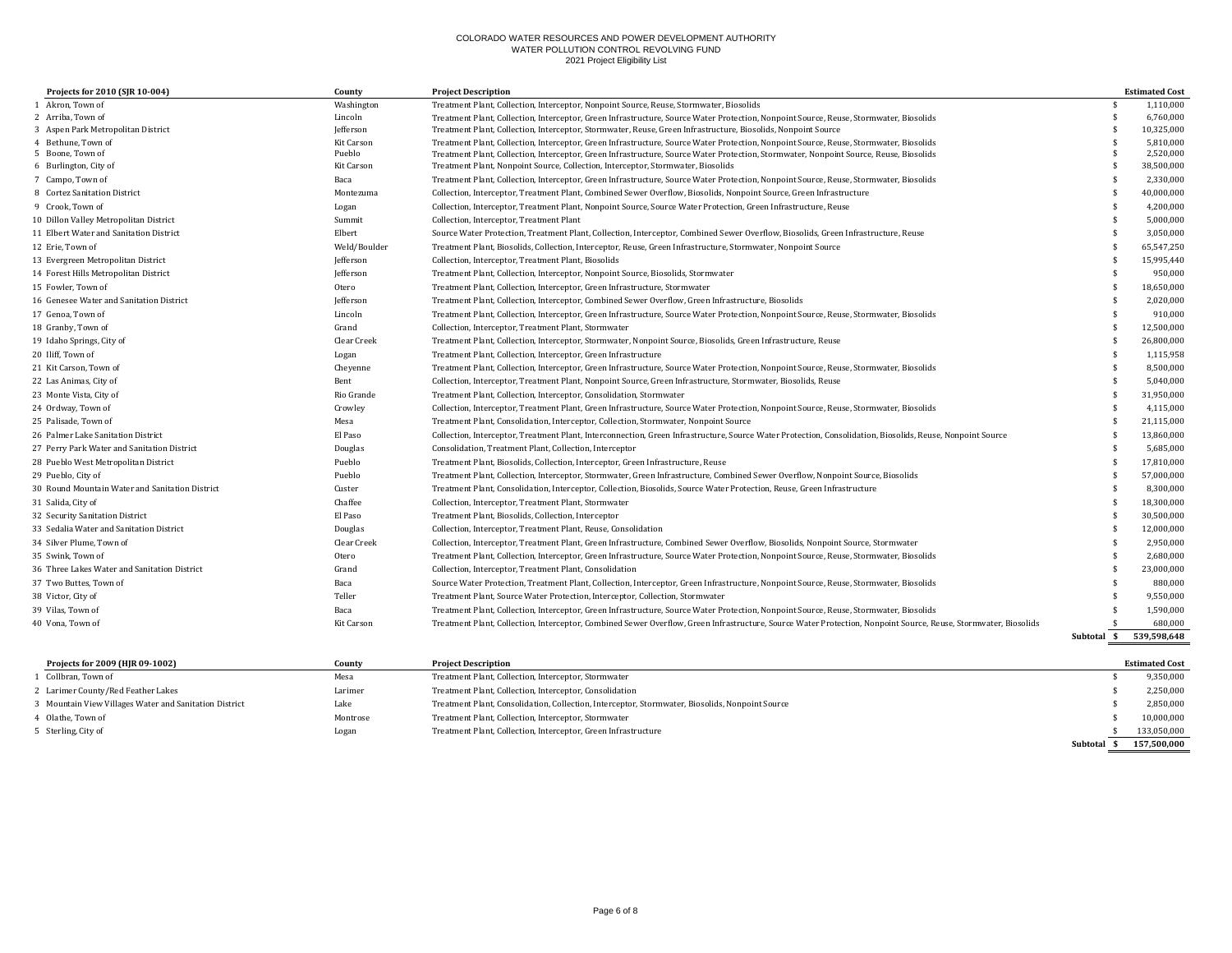| Projects for 2010 (SJR 10-004)                  | County           | <b>Project Description</b>                                                                                                                                      |             | <b>Estimated Cost</b> |
|-------------------------------------------------|------------------|-----------------------------------------------------------------------------------------------------------------------------------------------------------------|-------------|-----------------------|
| 1 Akron. Town of                                | Washington       | Treatment Plant, Collection, Interceptor, Nonpoint Source, Reuse, Stormwater, Biosolids                                                                         |             | 1,110,000             |
| 2 Arriba, Town of                               | Lincoln          | Treatment Plant, Collection, Interceptor, Green Infrastructure, Source Water Protection, Nonpoint Source, Reuse, Stormwater, Biosolids                          |             | 6,760,000             |
| 3 Aspen Park Metropolitan District              | Jefferson        | Treatment Plant, Collection, Interceptor, Stormwater, Reuse, Green Infrastructure, Biosolids, Nonpoint Source                                                   |             | 10,325,000            |
| 4 Bethune, Town of                              | Kit Carson       | Treatment Plant, Collection, Interceptor, Green Infrastructure, Source Water Protection, Nonpoint Source, Reuse, Stormwater, Biosolids                          |             | 5,810,000             |
| 5 Boone, Town of                                | Pueblo           | Treatment Plant, Collection, Interceptor, Green Infrastructure, Source Water Protection, Stormwater, Nonpoint Source, Reuse, Biosolids                          |             | 2,520,000             |
| 6 Burlington, City of                           | Kit Carson       | Treatment Plant, Nonpoint Source, Collection, Interceptor, Stormwater, Biosolids                                                                                |             | 38,500,000            |
| 7 Campo, Town of                                | Baca             | Treatment Plant, Collection, Interceptor, Green Infrastructure, Source Water Protection, Nonpoint Source, Reuse, Stormwater, Biosolids                          |             | 2,330,000             |
| 8 Cortez Sanitation District                    | Montezuma        | Collection, Interceptor, Treatment Plant, Combined Sewer Overflow, Biosolids, Nonpoint Source, Green Infrastructure                                             |             | 40,000,000            |
| 9 Crook. Town of                                | Logan            | Collection, Interceptor, Treatment Plant, Nonpoint Source, Source Water Protection, Green Infrastructure, Reuse                                                 |             | 4,200,000             |
| 10 Dillon Valley Metropolitan District          | Summit           | Collection, Interceptor, Treatment Plant                                                                                                                        |             | 5,000,000             |
| 11 Elbert Water and Sanitation District         | Elbert           | Source Water Protection, Treatment Plant, Collection, Interceptor, Combined Sewer Overflow, Biosolids, Green Infrastructure, Reuse                              |             | 3,050,000             |
| 12 Erie, Town of                                | Weld/Boulder     | Treatment Plant, Biosolids, Collection, Interceptor, Reuse, Green Infrastructure, Stormwater, Nonpoint Source                                                   |             | 65,547,250            |
| 13 Evergreen Metropolitan District              | Jefferson        | Collection, Interceptor, Treatment Plant, Biosolids                                                                                                             |             | 15,995,440            |
| 14 Forest Hills Metropolitan District           | Jefferson        | Treatment Plant, Collection, Interceptor, Nonpoint Source, Biosolids, Stormwater                                                                                |             | 950,000               |
| 15 Fowler, Town of                              | Otero            | Treatment Plant, Collection, Interceptor, Green Infrastructure, Stormwater                                                                                      |             | 18,650,000            |
| 16 Genesee Water and Sanitation District        | <b>Iefferson</b> | Treatment Plant, Collection, Interceptor, Combined Sewer Overflow, Green Infrastructure, Biosolids                                                              |             | 2,020,000             |
| 17 Genoa, Town of                               | Lincoln          | Treatment Plant, Collection, Interceptor, Green Infrastructure, Source Water Protection, Nonpoint Source, Reuse, Stormwater, Biosolids                          |             | 910,000               |
| 18 Granby, Town of                              | Grand            | Collection, Interceptor, Treatment Plant, Stormwater                                                                                                            |             | 12,500,000            |
| 19 Idaho Springs, City of                       | Clear Creek      | Treatment Plant, Collection, Interceptor, Stormwater, Nonpoint Source, Biosolids, Green Infrastructure, Reuse                                                   |             | 26,800,000            |
| 20 Iliff, Town of                               | Logan            | Treatment Plant, Collection, Interceptor, Green Infrastructure                                                                                                  |             | 1,115,958             |
| 21 Kit Carson, Town of                          | Chevenne         | Treatment Plant, Collection, Interceptor, Green Infrastructure, Source Water Protection, Nonpoint Source, Reuse, Stormwater, Biosolids                          |             | 8,500,000             |
| 22 Las Animas, City of                          | Bent             | Collection, Interceptor, Treatment Plant, Nonpoint Source, Green Infrastructure, Stormwater, Biosolids, Reuse                                                   |             | 5,040,000             |
| 23 Monte Vista, City of                         | Rio Grande       | Treatment Plant, Collection, Interceptor, Consolidation, Stormwater                                                                                             |             | 31,950,000            |
| 24 Ordway, Town of                              | Crowley          | Collection, Interceptor, Treatment Plant, Green Infrastructure, Source Water Protection, Nonpoint Source, Reuse, Stormwater, Biosolids                          |             | 4,115,000             |
| 25 Palisade, Town of                            | Mesa             | Treatment Plant, Consolidation, Interceptor, Collection, Stormwater, Nonpoint Source                                                                            |             | 21,115,000            |
| 26 Palmer Lake Sanitation District              | El Paso          | Collection, Interceptor, Treatment Plant, Interconnection, Green Infrastructure, Source Water Protection, Consolidation, Biosolids, Reuse, Nonpoint Source      |             | 13,860,000            |
| 27 Perry Park Water and Sanitation District     | Douglas          | Consolidation, Treatment Plant, Collection, Interceptor                                                                                                         |             | 5,685,000             |
| 28 Pueblo West Metropolitan District            | Pueblo           | Treatment Plant, Biosolids, Collection, Interceptor, Green Infrastructure, Reuse                                                                                |             | 17,810,000            |
| 29 Pueblo, City of                              | Pueblo           | Treatment Plant, Collection, Interceptor, Stormwater, Green Infrastructure, Combined Sewer Overflow, Nonpoint Source, Biosolids                                 |             | 57,000,000            |
| 30 Round Mountain Water and Sanitation District | Custer           | Treatment Plant, Consolidation, Interceptor, Collection, Biosolids, Source Water Protection, Reuse, Green Infrastructure                                        |             | 8,300,000             |
| 31 Salida, City of                              | Chaffee          | Collection, Interceptor, Treatment Plant, Stormwater                                                                                                            |             | 18,300,000            |
| 32 Security Sanitation District                 | El Paso          | Treatment Plant, Biosolids, Collection, Interceptor                                                                                                             |             | 30,500,000            |
| 33 Sedalia Water and Sanitation District        | Douglas          | Collection, Interceptor, Treatment Plant, Reuse, Consolidation                                                                                                  |             | 12,000,000            |
| 34 Silver Plume, Town of                        | Clear Creek      | Collection, Interceptor, Treatment Plant, Green Infrastructure, Combined Sewer Overflow, Biosolids, Nonpoint Source, Stormwater                                 |             | 2,950,000             |
| 35 Swink, Town of                               | Otero            | Treatment Plant, Collection, Interceptor, Green Infrastructure, Source Water Protection, Nonpoint Source, Reuse, Stormwater, Biosolids                          |             | 2,680,000             |
| 36 Three Lakes Water and Sanitation District    | Grand            | Collection, Interceptor, Treatment Plant, Consolidation                                                                                                         |             | 23,000,000            |
| 37 Two Buttes, Town of                          | Baca             | Source Water Protection, Treatment Plant, Collection, Interceptor, Green Infrastructure, Nonpoint Source, Reuse, Stormwater, Biosolids                          |             | 880,000               |
| 38 Victor, City of                              | Teller           | Treatment Plant, Source Water Protection, Interceptor, Collection, Stormwater                                                                                   |             | 9,550,000             |
| 39 Vilas, Town of                               | Baca             | Treatment Plant, Collection, Interceptor, Green Infrastructure, Source Water Protection, Nonpoint Source, Reuse, Stormwater, Biosolids                          |             | 1,590,000             |
| 40 Vona, Town of                                | Kit Carson       | Treatment Plant, Collection, Interceptor, Combined Sewer Overflow, Green Infrastructure, Source Water Protection, Nonpoint Source, Reuse, Stormwater, Biosolids |             | 680,000               |
|                                                 |                  |                                                                                                                                                                 | Subtotal \$ | 539.598.648           |

| Projects for 2009 (HJR 09-1002)                        | Countv   | <b>Project Description</b>                                                                      |          | <b>Estimated Cost</b> |
|--------------------------------------------------------|----------|-------------------------------------------------------------------------------------------------|----------|-----------------------|
| Collbran. Town of                                      | Mesa     | Treatment Plant, Collection, Interceptor, Stormwater                                            |          | 9,350,000             |
| 2 Larimer County/Red Feather Lakes                     | Larimer  | Treatment Plant, Collection, Interceptor, Consolidation                                         |          | 2.250.000             |
| 3 Mountain View Villages Water and Sanitation District | Lake     | Treatment Plant, Consolidation, Collection, Interceptor, Stormwater, Biosolids, Nonpoint Source |          | 2.850.000             |
| 4 Olathe, Town of                                      | Montrose | Treatment Plant, Collection, Interceptor, Stormwater                                            |          | 10,000,000            |
| 5 Sterling, City of                                    | Logan    | Treatment Plant, Collection, Interceptor, Green Infrastructure                                  |          | 133,050,000           |
|                                                        |          |                                                                                                 | Subtotal | 157,500,000           |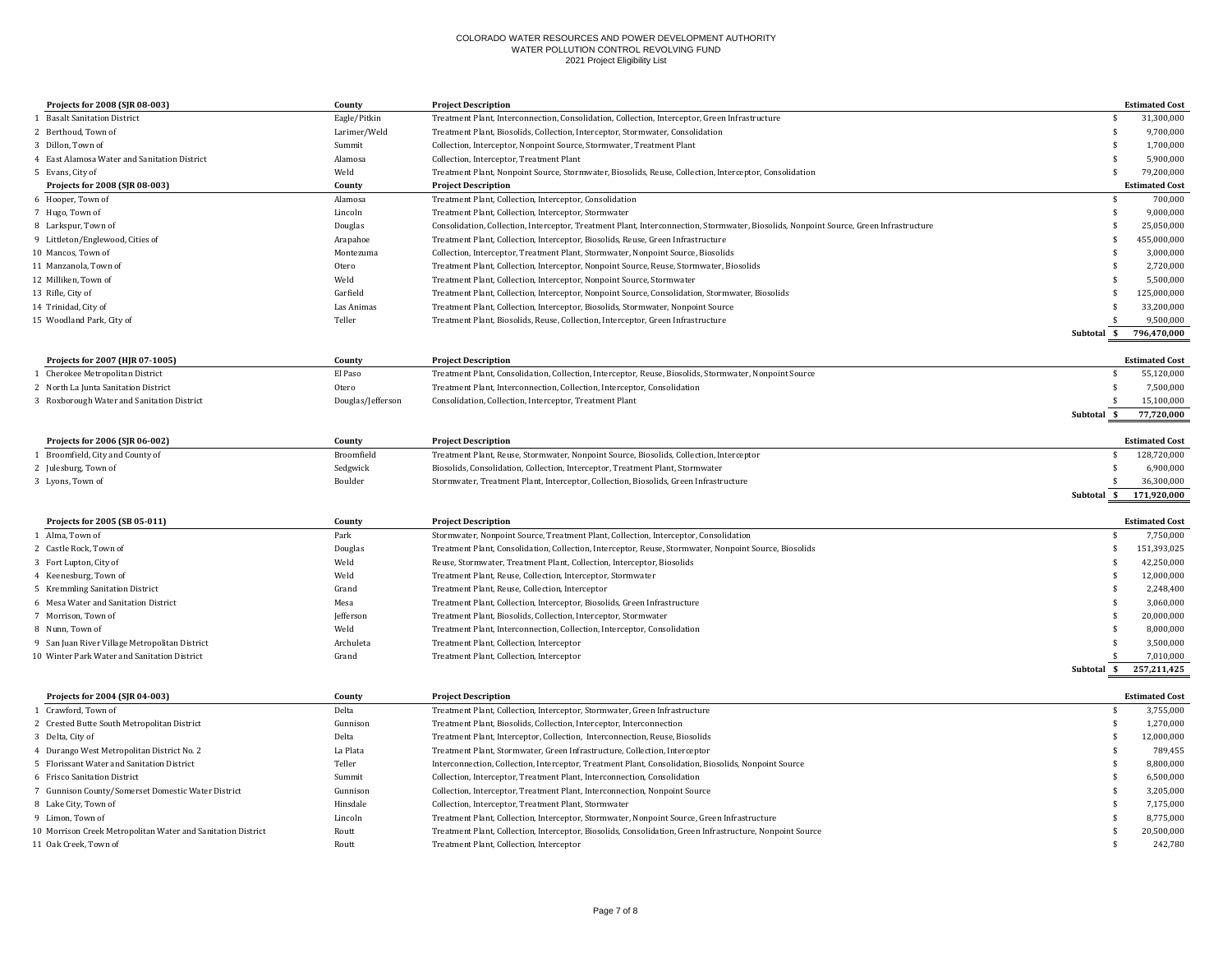| Projects for 2008 (SJR 08-003)                               | County            | <b>Project Description</b>                                                                                                             |                    | <b>Estimated Cost</b> |
|--------------------------------------------------------------|-------------------|----------------------------------------------------------------------------------------------------------------------------------------|--------------------|-----------------------|
| 1 Basalt Sanitation District                                 | Eagle/Pitkin      | Treatment Plant, Interconnection, Consolidation, Collection, Interceptor, Green Infrastructure                                         | -S                 | 31,300,000            |
| 2 Berthoud. Town of                                          | Larimer/Weld      | Treatment Plant, Biosolids, Collection, Interceptor, Stormwater, Consolidation                                                         | $\mathbf{\hat{s}}$ | 9,700,000             |
| 3 Dillon, Town of                                            | Summit            | Collection, Interceptor, Nonpoint Source, Stormwater, Treatment Plant                                                                  | \$                 | 1,700,000             |
| 4 East Alamosa Water and Sanitation District                 | Alamosa           | Collection, Interceptor, Treatment Plant                                                                                               | \$                 | 5,900,000             |
| 5 Evans, City of                                             | Weld              | Treatment Plant, Nonpoint Source, Stormwater, Biosolids, Reuse, Collection, Interceptor, Consolidation                                 | <sup>\$</sup>      | 79,200,000            |
| Projects for 2008 (SJR 08-003)                               | County            | <b>Project Description</b>                                                                                                             |                    | <b>Estimated Cost</b> |
| 6 Hooper, Town of                                            | Alamosa           | Treatment Plant, Collection, Interceptor, Consolidation                                                                                | $\mathbf{\hat{s}}$ | 700,000               |
| 7 Hugo, Town of                                              | Lincoln           | Treatment Plant, Collection, Interceptor, Stormwater                                                                                   | \$                 | 9,000,000             |
| 8 Larkspur, Town of                                          | Douglas           | Consolidation, Collection, Interceptor, Treatment Plant, Interconnection, Stormwater, Biosolids, Nonpoint Source, Green Infrastructure | \$                 | 25,050,000            |
| 9 Littleton/Englewood, Cities of                             | Arapahoe          | Treatment Plant, Collection, Interceptor, Biosolids, Reuse, Green Infrastructure                                                       | \$.                | 455,000,000           |
| 10 Mancos, Town of                                           | Montezuma         | Collection, Interceptor, Treatment Plant, Stormwater, Nonpoint Source, Biosolids                                                       | <sup>\$</sup>      | 3,000,000             |
| 11 Manzanola, Town of                                        | Otero             | Treatment Plant, Collection, Interceptor, Nonpoint Source, Reuse, Stormwater, Biosolids                                                | \$                 | 2,720,000             |
| 12 Milliken. Town of                                         | Weld              | Treatment Plant, Collection, Interceptor, Nonpoint Source, Stormwater                                                                  | \$                 | 5,500,000             |
| 13 Rifle, City of                                            | Garfield          | Treatment Plant, Collection, Interceptor, Nonpoint Source, Consolidation, Stormwater, Biosolids                                        | <sup>\$</sup>      | 125,000,000           |
| 14 Trinidad, City of                                         | Las Animas        | Treatment Plant, Collection, Interceptor, Biosolids, Stormwater, Nonpoint Source                                                       |                    | 33,200,000            |
| 15 Woodland Park, City of                                    | Teller            | Treatment Plant, Biosolids, Reuse, Collection, Interceptor, Green Infrastructure                                                       |                    | 9,500,000             |
|                                                              |                   |                                                                                                                                        | - \$<br>Subtotal   | 796,470,000           |
|                                                              |                   |                                                                                                                                        |                    |                       |
| Projects for 2007 (HJR 07-1005)                              | County            | <b>Project Description</b>                                                                                                             |                    | <b>Estimated Cost</b> |
| Cherokee Metropolitan District                               | El Paso           | Treatment Plant, Consolidation, Collection, Interceptor, Reuse, Biosolids, Stormwater, Nonpoint Source                                 | \$                 | 55,120,000            |
| 2 North La Junta Sanitation District                         | Otero             | Treatment Plant, Interconnection, Collection, Interceptor, Consolidation                                                               | \$                 | 7,500,000             |
| 3 Roxborough Water and Sanitation District                   | Douglas/Jefferson | Consolidation, Collection, Interceptor, Treatment Plant                                                                                | \$.                | 15,100,000            |
|                                                              |                   |                                                                                                                                        | Subtotal \$        | 77,720,000            |
|                                                              |                   |                                                                                                                                        |                    |                       |
| Projects for 2006 (SJR 06-002)                               | County            | <b>Project Description</b>                                                                                                             |                    | <b>Estimated Cost</b> |
| 1 Broomfield, City and County of                             | Broomfield        | Treatment Plant, Reuse, Stormwater, Nonpoint Source, Biosolids, Collection, Interceptor                                                | \$                 | 128,720,000           |
| 2 Julesburg, Town of                                         | Sedgwick          | Biosolids, Consolidation, Collection, Interceptor, Treatment Plant, Stormwater                                                         | \$                 | 6,900,000             |
| 3 Lyons, Town of                                             | Boulder           | Stormwater, Treatment Plant, Interceptor, Collection, Biosolids, Green Infrastructure                                                  | $\mathbf{\hat{s}}$ | 36,300,000            |
|                                                              |                   |                                                                                                                                        | \$<br>Subtotal     | 171,920,000           |
| Projects for 2005 (SB 05-011)                                | County            | <b>Project Description</b>                                                                                                             |                    | <b>Estimated Cost</b> |
| 1 Alma, Town of                                              | Park              | Stormwater, Nonpoint Source, Treatment Plant, Collection, Interceptor, Consolidation                                                   | \$                 | 7,750,000             |
| 2 Castle Rock, Town of                                       | Douglas           | Treatment Plant, Consolidation, Collection, Interceptor, Reuse, Stormwater, Nonpoint Source, Biosolids                                 | \$                 | 151,393,025           |
| 3 Fort Lupton, City of                                       | Weld              | Reuse, Stormwater, Treatment Plant, Collection, Interceptor, Biosolids                                                                 | $\mathbf{\hat{s}}$ | 42,250,000            |
| 4 Keenesburg, Town of                                        | Weld              | Treatment Plant, Reuse, Collection, Interceptor, Stormwater                                                                            | <sup>\$</sup>      | 12,000,000            |
| 5 Kremmling Sanitation District                              | Grand             | Treatment Plant, Reuse, Collection, Interceptor                                                                                        | \$                 | 2,248,400             |
| 6 Mesa Water and Sanitation District                         | Mesa              | Treatment Plant, Collection, Interceptor, Biosolids, Green Infrastructure                                                              | $\mathbf{\hat{s}}$ | 3,060,000             |
| 7 Morrison, Town of                                          | Jefferson         | Treatment Plant, Biosolids, Collection, Interceptor, Stormwater                                                                        | <sup>\$</sup>      | 20,000,000            |
| 8 Nunn, Town of                                              | Weld              | Treatment Plant, Interconnection, Collection, Interceptor, Consolidation                                                               | \$                 | 8,000,000             |
| 9 San Juan River Village Metropolitan District               | Archuleta         | Treatment Plant, Collection, Interceptor                                                                                               | $\mathbf{\hat{s}}$ | 3,500,000             |
| 10 Winter Park Water and Sanitation District                 | Grand             | Treatment Plant, Collection, Interceptor                                                                                               | \$.                | 7,010,000             |
|                                                              |                   |                                                                                                                                        | Subtotal \$        | 257,211,425           |
|                                                              |                   |                                                                                                                                        |                    |                       |
| Projects for 2004 (SJR 04-003)                               | County            | <b>Project Description</b>                                                                                                             |                    | <b>Estimated Cost</b> |
| 1 Crawford, Town of                                          | Delta             | Treatment Plant, Collection, Interceptor, Stormwater, Green Infrastructure                                                             | \$                 | 3,755,000             |
| 2 Crested Butte South Metropolitan District                  | Gunnison          | Treatment Plant, Biosolids, Collection, Interceptor, Interconnection                                                                   | $\mathbf{\hat{s}}$ | 1,270,000             |
| 3 Delta, City of                                             | Delta             | Treatment Plant, Interceptor, Collection, Interconnection, Reuse, Biosolids                                                            | <sup>\$</sup>      | 12,000,000            |
| 4 Durango West Metropolitan District No. 2                   | La Plata          | Treatment Plant, Stormwater, Green Infrastructure, Collection, Interceptor                                                             | \$                 | 789,455               |
| 5 Florissant Water and Sanitation District                   | Teller            | Interconnection, Collection, Interceptor, Treatment Plant, Consolidation, Biosolids, Nonpoint Source                                   | $\mathbf{\hat{s}}$ | 8,800,000             |
| 6 Frisco Sanitation District                                 | Summit            | Collection, Interceptor, Treatment Plant, Interconnection, Consolidation                                                               | \$                 | 6,500,000             |
| 7 Gunnison County/Somerset Domestic Water District           | Gunnison          | Collection, Interceptor, Treatment Plant, Interconnection, Nonpoint Source                                                             | \$                 | 3,205,000             |
| 8 Lake City, Town of                                         | Hinsdale          | Collection, Interceptor, Treatment Plant, Stormwater                                                                                   | \$.                | 7,175,000             |
| 9 Limon, Town of                                             | Lincoln           | Treatment Plant, Collection, Interceptor, Stormwater, Nonpoint Source, Green Infrastructure                                            | \$                 | 8,775,000             |
| 10 Morrison Creek Metropolitan Water and Sanitation District | Routt             | Treatment Plant, Collection, Interceptor, Biosolids, Consolidation, Green Infrastructure, Nonpoint Source                              | \$                 | 20,500,000            |
| 11 Oak Creek. Town of                                        | Routt             | Treatment Plant, Collection, Interceptor                                                                                               | \$                 | 242.780               |
|                                                              |                   |                                                                                                                                        |                    |                       |